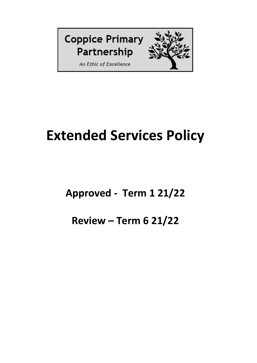

# **Extended Services Policy**

# **Approved - Term 1 21/22**

# **Review – Term 6 21/22**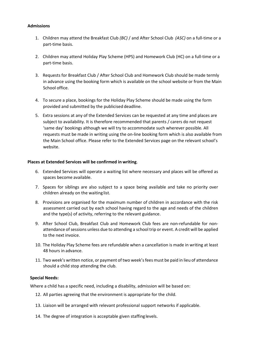#### **Admissions**

- 1. Children may attend the Breakfast Club *(BC)* / and After School Club *(ASC)* on a full-time or a part-time basis.
- 2. Children may attend Holiday Play Scheme (HPS) and Homework Club (HC) on a full-time or a part-time basis.
- 3. Requests for Breakfast Club / After School Club and Homework Club should be made termly in advance using the booking form which is available on the school website or from the Main School office.
- 4. To secure a place, bookings for the Holiday Play Scheme should be made using the form provided and submitted by the publicised deadline.
- 5. Extra sessions at any of the Extended Services can be requested at any time and places are subject to availability. It is therefore recommended that parents / carers do not request 'same day' bookings although we will try to accommodate such wherever possible. All requests must be made in writing using the on-line booking form which is also available from the Main School office. Please refer to the Extended Services page on the relevant school's website.

#### **Places at Extended Services will be confirmed in writing**.

- 6. Extended Services will operate a waiting list where necessary and places will be offered as spaces become available.
- 7. Spaces for siblings are also subject to a space being available and take no priority over children already on the waiting list.
- 8. Provisions are organised for the maximum number of children in accordance with the risk assessment carried out by each school having regard to the age and needs of the children and the type(s) of activity, referring to the relevant guidance.
- 9. After School Club, Breakfast Club and Homework Club fees are non-refundable for nonattendance of sessions unless due to attending a school trip or event. A credit will be applied to the next invoice.
- 10. The Holiday Play Scheme fees are refundable when a cancellation is made in writing at least 48 hours in advance.
- 11. Two week's written notice, or payment of two week's fees must be paid in lieu of attendance should a child stop attending the club.

#### **Special Needs:**

Where a child has a specific need, including a disability, admission will be based on:

- 12. All parties agreeing that the environment is appropriate for the child.
- 13. Liaison will be arranged with relevant professional support networks if applicable.
- 14. The degree of integration is acceptable given staffing levels.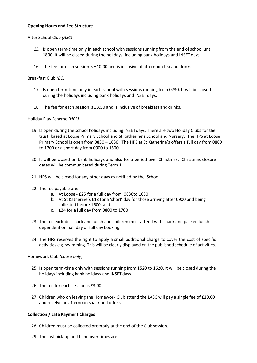# **Opening Hours and Fee Structure**

# After School Club *(ASC)*

- *15.* Is open term-time only in each school with sessions running from the end of school until 1800. It will be closed during the holidays, including bank holidays and INSET days.
- 16. The fee for each session is £10.00 and is inclusive of afternoon tea and drinks.

# Breakfast Club *(BC)*

- 17. Is open term-time only in each school with sessions running from 0730. It will be closed during the holidays including bank holidays and INSET days.
- 18. The fee for each session is £3.50 and is inclusive of breakfast and drinks.

# Holiday Play Scheme *(HPS)*

- 19. Is open during the school holidays including INSETdays. There are two Holiday Clubs for the trust, based at Loose Primary School and St Katherine's School and Nursery. The HPS at Loose Primary School is open from 0830 – 1630. The HPS at St Katherine's offers a full day from 0800 to 1700 or a short day from 0900 to 1600.
- 20. It will be closed on bank holidays and also for a period over Christmas. Christmas closure dates will be communicated during Term 1.
- 21. HPS will be closed for any other days as notified by the School
- 22. The fee payable are:
	- a. At Loose £25 for a full day from 0830to 1630
	- b. At St Katherine's £18 for a 'short' day for those arriving after 0900 and being collected before 1600, and
	- c. £24 for a full day from 0800 to 1700
- 23. The fee excludes snack and lunch and children must attend with snack and packed lunch dependent on half day or full day booking.
- 24. The HPS reserves the right to apply a small additional charge to cover the cost of specific activities e.g. swimming. This will be clearly displayed on the published schedule of activities.

# Homework Club *(Loose only)*

- 25. Is open term-time only with sessions running from 1520 to 1620. It will be closed during the holidays including bank holidays and INSET days.
- 26. The fee for each session is £3.00
- 27. Children who on leaving the Homework Club attend the LASC will pay a single fee of £10.00 and receive an afternoon snack and drinks.

# **Collection / Late Payment Charges**

- 28. Children must be collected promptly at the end of the Clubsession.
- 29. The last pick-up and hand over times are: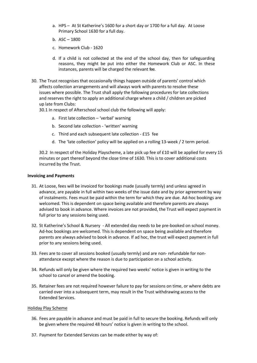- a. HPS At St Katherine's 1600 for a short day or 1700 for a full day. At Loose Primary School 1630 for a full day.
- b. ASC 1800
- c. Homework Club 1620
- d. If a child is not collected at the end of the school day, then for safeguarding reasons, they might be put into either the Homework Club or ASC. In these instances, parents will be charged the relevant fee.
- 30. The Trust recognises that occasionally things happen outside of parents' control which affects collection arrangements and will always work with parents to resolve these issues where possible. The Trust shall apply the following procedures for late collections and reserves the right to apply an additional charge where a child / children are picked up late from Clubs:

# 30.1 In respect of Afterschool school club the following will apply:

- a. First late collection 'verbal' warning
- b. Second late collection 'written' warning
- c. Third and each subsequent late collection £15 fee
- d. The 'late collection' policy will be applied on a rolling 13-week / 2 term period.

30.2 In respect of the Holiday Playscheme, a late pick up fee of £10 will be applied for every 15 minutes or part thereof beyond the close time of 1630. This is to cover additional costs incurred by the Trust.

# **Invoicing and Payments**

- 31. At Loose, fees will be invoiced for bookings made (usually termly) and unless agreed in advance, are payable in full within two weeks of the issue date and by prior agreement by way of instalments. Fees must be paid within the term for which they are due. Ad-hoc bookings are welcomed. This is dependent on space being available and therefore parents are always advised to book in advance. Where invoices are not provided, the Trust will expect payment in full prior to any sessions being used.
- 32. St Katherine's School & Nursery All extended day needs to be pre-booked on school money. Ad-hoc bookings are welcomed. This is dependent on space being available and therefore parents are always advised to book in advance. If ad hoc, the trust will expect payment in full prior to any sessions being used.
- 33. Fees are to cover all sessions booked (usually termly) and are non- refundable for nonattendance except where the reason is due to participation on a school activity.
- 34. Refunds will only be given where the required two weeks' notice is given in writing to the school to cancel or amend the booking.
- 35. Retainer fees are not required however failure to pay for sessions on time, or where debts are carried over into a subsequent term, may result in the Trust withdrawing access to the Extended Services.

# Holiday Play Scheme

- 36. Fees are payable in advance and must be paid in full to secure the booking. Refunds will only be given where the required 48 hours' notice is given in writing to the school.
- 37. Payment for Extended Services can be made either by way of: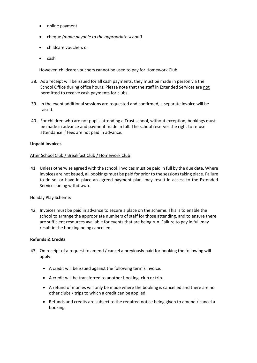- online payment
- cheque *(made payable to the appropriate school)*
- childcare vouchers or
- $\bullet$  cash

However, childcare vouchers cannot be used to pay for Homework Club.

- 38. As a receipt will be issued for all cash payments, they must be made in person via the School Office during office hours. Please note that the staff in Extended Services are not permitted to receive cash payments for clubs.
- 39. In the event additional sessions are requested and confirmed, a separate invoice will be raised.
- 40. For children who are not pupils attending a Trust school, without exception, bookings must be made in advance and payment made in full. The school reserves the right to refuse attendance if fees are not paid in advance.

# **Unpaid Invoices**

# After School Club / Breakfast Club / Homework Club:

41. Unless otherwise agreed with the school, invoices must be paid in full by the due date. Where invoices are not issued, all bookings must be paid for prior to the sessions taking place. Failure to do so, or have in place an agreed payment plan, may result in access to the Extended Services being withdrawn.

# Holiday Play Scheme:

42. Invoices must be paid in advance to secure a place on the scheme. This is to enable the school to arrange the appropriate numbers of staff for those attending, and to ensure there are sufficient resources available for events that are being run. Failure to pay in full may result in the booking being cancelled.

# **Refunds & Credits**

- 43. On receipt of a request to amend / cancel a previously paid for booking the following will apply:
	- A credit will be issued against the following term's invoice.
	- A credit will be transferred to another booking, club or trip.
	- A refund of monies will only be made where the booking is cancelled and there are no other clubs / trips to which a credit can be applied.
	- Refunds and credits are subject to the required notice being given to amend / cancel a booking.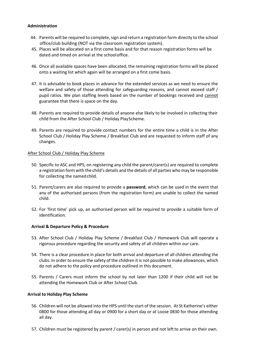# **Administration**

- 44. Parents will be required to complete, sign and return a registration form directly to the school office/club building (NOT via the classroom registration system).
- 45. Places will be allocated on a first come basis and for that reason registration forms will be dated and timed on arrival at the schooloffice.
- 46. Once all available spaces have been allocated, the remaining registration forms will be placed onto a waiting list which again will be arranged on a first come basis.
- 47. It is advisable to book places in advance for the extended services as we need to ensure the welfare and safety of those attending for safeguarding reasons, and cannot exceed staff / pupil ratios. We plan staffing levels based on the number of bookings received and cannot guarantee that there is space on the day.
- 48. Parents are required to provide details of anyone else likely to be involved in collecting their child from the After School Club / Holiday PlayScheme.
- 49. Parents are required to provide contact numbers for the entire time a child is in the After School Club / Holiday Play Scheme / Breakfast Club and are requested to inform staff of any changes.

#### After School Club / Holiday Play Scheme

- 50. Specific to ASC and HPS, on registering any child the parent/carer(s) are required to complete a registration form with the child's details and the details of all parties who may be responsible for collecting the namedchild.
- 51. Parent/carers are also required to provide a **password**, which can be used in the event that any of the authorised persons (from the registration form) are unable to collect the named child.
- 52. For 'first time' pick up, an authorised person will be required to provide a suitable form of identification.

# **Arrival & Departure Policy & Procedure**

- 53. After School Club / Holiday Play Scheme / Breakfast Club / Homework Club will operate a rigorous procedure regarding the security and safety of all children within our care.
- 54. There is a clear procedure in place for both arrival and departure of all children attending the clubs. In order to ensure the safety of the children it is not possible to make allowances, which do not adhere to the policy and procedure outlined in this document.
- 55. Parents / Carers must inform the school by not later than 1200 if their child will not be attending the Homework Club or After School Club.

# **Arrival to Holiday Play Scheme**

- 56. Children will not be allowed into the HPS until the start of the session. At St Katherine's either 0800 for those attending all day or 0900 for a short day or at Loose 0830 for those attending all day.
- 57. Children must be registered by parent / carer(s) in person and not leftto arrive on their own.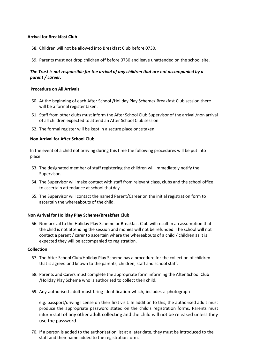# **Arrival for Breakfast Club**

- 58. Children will not be allowed into Breakfast Club before 0730.
- 59. Parents must not drop children off before 0730 and leave unattended on the school site.

# *The Trust is not responsible for the arrival of any children that are not accompanied by a parent / career.*

# **Procedure on All Arrivals**

- 60. At the beginning of each After School /Holiday Play Scheme/ Breakfast Club session there will be a formal register taken.
- 61. Staff from other clubs must inform the After School Club Supervisor of the arrival /non arrival of all children expected to attend an After School Club session.
- 62. The formal register will be kept in a secure place oncetaken.

# **Non Arrival for After School Club**

In the event of a child not arriving during this time the following procedures will be put into place:

- 63. The designated member of staff registering the children will immediately notify the Supervisor.
- 64. The Supervisor will make contact with staff from relevant class, clubs and the school office to ascertain attendance at school thatday.
- 65. The Supervisor will contact the named Parent/Career on the initial registration form to ascertain the whereabouts of the child.

# **Non Arrival for Holiday Play Scheme/Breakfast Club**

66. Non-arrival to the Holiday Play Scheme or Breakfast Club will result in an assumption that the child is not attending the session and monies will not be refunded. The school will not contact a parent / carer to ascertain where the whereabouts of a child / children as it is expected they will be accompanied to registration.

#### **Collection**

- 67. The After School Club/Holiday Play Scheme has a procedure for the collection of children that is agreed and known to the parents, children, staff and school staff.
- 68. Parents and Carers must complete the appropriate form informing the After School Club /Holiday Play Scheme who is authorised to collect their child.
- 69. Any authorised adult must bring identification which, includes a photograph

e.g. passport/driving license on their first visit. In addition to this, the authorised adult must produce the appropriate password stated on the child's registration forms. Parents must inform staff of any other adult collecting and the child will not be released unless they use the password.

70. If a person is added to the authorisation list at a later date, they must be introduced to the staff and their name added to the registration form.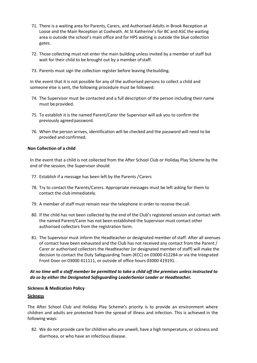- 71. There is a waiting area for Parents, Carers, and Authorised Adults in Brook Reception at Loose and the Main Reception at Coxheath. At St Katherine's for BC and ASC the waiting area is outside the school's main office and for HPS waiting is outside the blue collection gates.
- 72. Those collecting must not enter the main building unless invited by a member of staff but wait for their child to be brought out by a member of staff.
- 73. Parents must sign the collection register before leaving thebuilding.

In the event that it is not possible for any of the authorised persons to collect a child and someone else is sent, the following procedure must be followed:

- 74. The Supervisor must be contacted and a full description of the person including their name must be provided.
- 75. To establish it is the named Parent/Carer the Supervisor will ask you to confirm the previously agreed password.
- 76. When the person arrives, identification will be checked and the password will need to be provided and confirmed.

#### **Non Collection of a child**

In the event that a child is not collected from the After School Club or Holiday Play Scheme by the end of the session, the Supervisor should:

- 77. Establish if a message has been left by the Parents /Carers
- 78. Try to contact the Parents/Carers. Appropriate messages must be left asking for them to contact the club immediately.
- 79. A member of staff must remain near the telephone in order to receive the call.
- 80. If the child has not been collected by the end of the Club's registered session and contact with the named Parent/Carer has not been established the Supervisor must contact other authorised collectors from the registration form.
- 81. The Supervisor must inform the Headteacher or designated member of staff. After all avenues of contact have been exhausted and the Club has not received any contact from the Parent / Carer or authorised collectors the Headteacher (or designated member of staff) will make the decision to contact the Duty Safeguarding Team (KCC) on 03000 412284 or via the Integrated Front Door on 03000 411111, or outside of office hours 03000 419191. .

# *At no time will a staff member be permitted to take a child off the premises unless instructed to do so by either the Designated Safeguarding LeaderSenior Leader or Headteacher.*

# **Sickness & Medication Policy**

#### **Sickness**

The After School Club and Holiday Play Scheme's priority is to provide an environment where children and adults are protected from the spread of illness and infection. This is achieved in the following ways:

82. We do not provide care for children who are unwell, have a high temperature, or sickness and diarrhoea, or who have an infectious disease.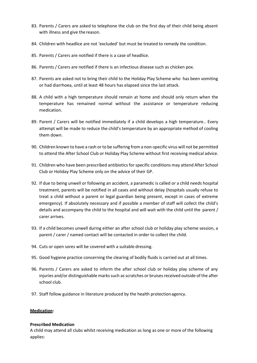- 83. Parents / Carers are asked to telephone the club on the first day of their child being absent with illness and give the reason.
- 84. Children with headlice are not 'excluded' but must be treated to remedy the condition.
- 85. Parents / Carers are notified if there is a case of headlice.
- 86. Parents / Carers are notified if there is an infectious disease such as chicken pox.
- 87. Parents are asked not to bring their child to the Holiday Play Scheme who has been vomiting or had diarrhoea, until at least 48 hours has elapsed since the last attack.
- 88. A child with a high temperature should remain at home and should only return when the temperature has remained normal without the assistance or temperature reducing medication.
- 89. Parent / Carers will be notified immediately if a child develops a high temperature.. Every attempt will be made to reduce the child's temperature by an appropriate method of cooling them down.
- 90. Children known to have a rash or to be suffering from a non-specific virus will not be permitted to attend the After School Club or Holiday Play Scheme without first receiving medical advice.
- 91. Children who have been prescribed antibiotics for specific conditions may attend After School Club or Holiday Play Scheme only on the advice of their GP.
- 92. If due to being unwell or following an accident, a paramedic is called or a child needs hospital treatment, parents will be notified in all cases and without delay (hospitals usually refuse to treat a child without a parent or legal guardian being present, except in cases of extreme emergency). If absolutely necessary and if possible a member of staff will collect the child's details and accompany the child to the hospital and will wait with the child until the parent / carer arrives.
- 93. If a child becomes unwell during either an after school club or holiday play scheme session, a parent / carer / named contact will be contacted in order to collect the child.
- 94. Cuts or open sores will be covered with a suitable dressing.
- 95. Good hygiene practice concerning the clearing of bodily fluids is carried out at all times.
- 96. Parents / Carers are asked to inform the after school club or holiday play scheme of any injuries and/or distinguishable marks such as scratches or bruises received outside of the after school club.
- 97. Staff follow guidance in literature produced by the health protectionagency.

# **Medication:**

# **Prescribed Medication**

A child may attend all clubs whilst receiving medication as long as one or more of the following applies: